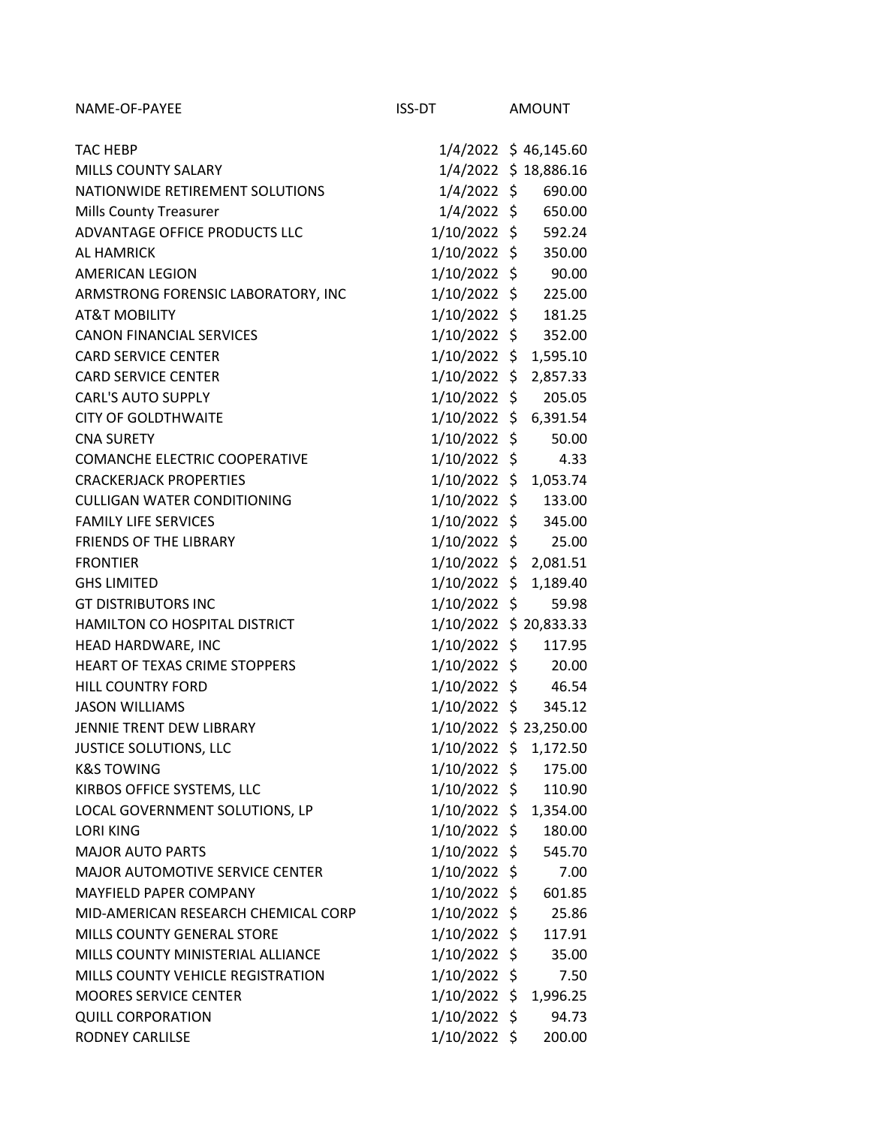| NAME-OF-PAYEE                        | ISS-DT         | AMOUNT                 |
|--------------------------------------|----------------|------------------------|
|                                      |                |                        |
| <b>TAC HEBP</b>                      |                | 1/4/2022 \$46,145.60   |
| <b>MILLS COUNTY SALARY</b>           |                | 1/4/2022 \$18,886.16   |
| NATIONWIDE RETIREMENT SOLUTIONS      |                | 1/4/2022 \$ 690.00     |
| <b>Mills County Treasurer</b>        |                | 1/4/2022 \$ 650.00     |
| ADVANTAGE OFFICE PRODUCTS LLC        |                | 1/10/2022 \$ 592.24    |
| <b>AL HAMRICK</b>                    | 1/10/2022 \$   | 350.00                 |
| <b>AMERICAN LEGION</b>               |                | $1/10/2022 \div 90.00$ |
| ARMSTRONG FORENSIC LABORATORY, INC   |                | 1/10/2022 \$ 225.00    |
| <b>AT&amp;T MOBILITY</b>             | 1/10/2022 \$   | 181.25                 |
| <b>CANON FINANCIAL SERVICES</b>      |                | 1/10/2022 \$ 352.00    |
| <b>CARD SERVICE CENTER</b>           | 1/10/2022 \$   | 1,595.10               |
| <b>CARD SERVICE CENTER</b>           | 1/10/2022 \$   | 2,857.33               |
| <b>CARL'S AUTO SUPPLY</b>            | 1/10/2022 \$   | 205.05                 |
| <b>CITY OF GOLDTHWAITE</b>           |                | 1/10/2022 \$ 6,391.54  |
| <b>CNA SURETY</b>                    | 1/10/2022 \$   | 50.00                  |
| <b>COMANCHE ELECTRIC COOPERATIVE</b> | 1/10/2022 \$   | 4.33                   |
| <b>CRACKERJACK PROPERTIES</b>        |                | 1/10/2022 \$ 1,053.74  |
| <b>CULLIGAN WATER CONDITIONING</b>   |                | 1/10/2022 \$ 133.00    |
| <b>FAMILY LIFE SERVICES</b>          |                | 1/10/2022 \$ 345.00    |
| <b>FRIENDS OF THE LIBRARY</b>        | 1/10/2022 \$   | 25.00                  |
| <b>FRONTIER</b>                      |                | 1/10/2022 \$ 2,081.51  |
| <b>GHS LIMITED</b>                   |                | 1/10/2022 \$ 1,189.40  |
| <b>GT DISTRIBUTORS INC</b>           | 1/10/2022 \$   | 59.98                  |
| HAMILTON CO HOSPITAL DISTRICT        |                | 1/10/2022 \$ 20,833.33 |
| HEAD HARDWARE, INC                   | 1/10/2022 \$   | 117.95                 |
| HEART OF TEXAS CRIME STOPPERS        |                | $1/10/2022 \div 20.00$ |
| <b>HILL COUNTRY FORD</b>             |                | 1/10/2022 \$46.54      |
| <b>JASON WILLIAMS</b>                | 1/10/2022 \$   | 345.12                 |
| JENNIE TRENT DEW LIBRARY             |                | 1/10/2022 \$ 23,250.00 |
| JUSTICE SOLUTIONS, LLC               | 1/10/2022 \$   | 1,172.50               |
| <b>K&amp;S TOWING</b>                | 1/10/2022 \$   | 175.00                 |
| KIRBOS OFFICE SYSTEMS, LLC           | 1/10/2022 \$   | 110.90                 |
| LOCAL GOVERNMENT SOLUTIONS, LP       | 1/10/2022 \$   | 1,354.00               |
| <b>LORI KING</b>                     | 1/10/2022 \$   | 180.00                 |
| <b>MAJOR AUTO PARTS</b>              | 1/10/2022 \$   | 545.70                 |
| MAJOR AUTOMOTIVE SERVICE CENTER      | $1/10/2022$ \$ | 7.00                   |
| <b>MAYFIELD PAPER COMPANY</b>        | 1/10/2022 \$   | 601.85                 |
| MID-AMERICAN RESEARCH CHEMICAL CORP  | 1/10/2022 \$   | 25.86                  |
|                                      |                |                        |
| <b>MILLS COUNTY GENERAL STORE</b>    | 1/10/2022 \$   | 117.91                 |
| MILLS COUNTY MINISTERIAL ALLIANCE    | $1/10/2022$ \$ | 35.00                  |
| MILLS COUNTY VEHICLE REGISTRATION    | $1/10/2022$ \$ | 7.50                   |
| <b>MOORES SERVICE CENTER</b>         | 1/10/2022 \$   | 1,996.25               |
| <b>QUILL CORPORATION</b>             | $1/10/2022$ \$ | 94.73                  |
| RODNEY CARLILSE                      | 1/10/2022 \$   | 200.00                 |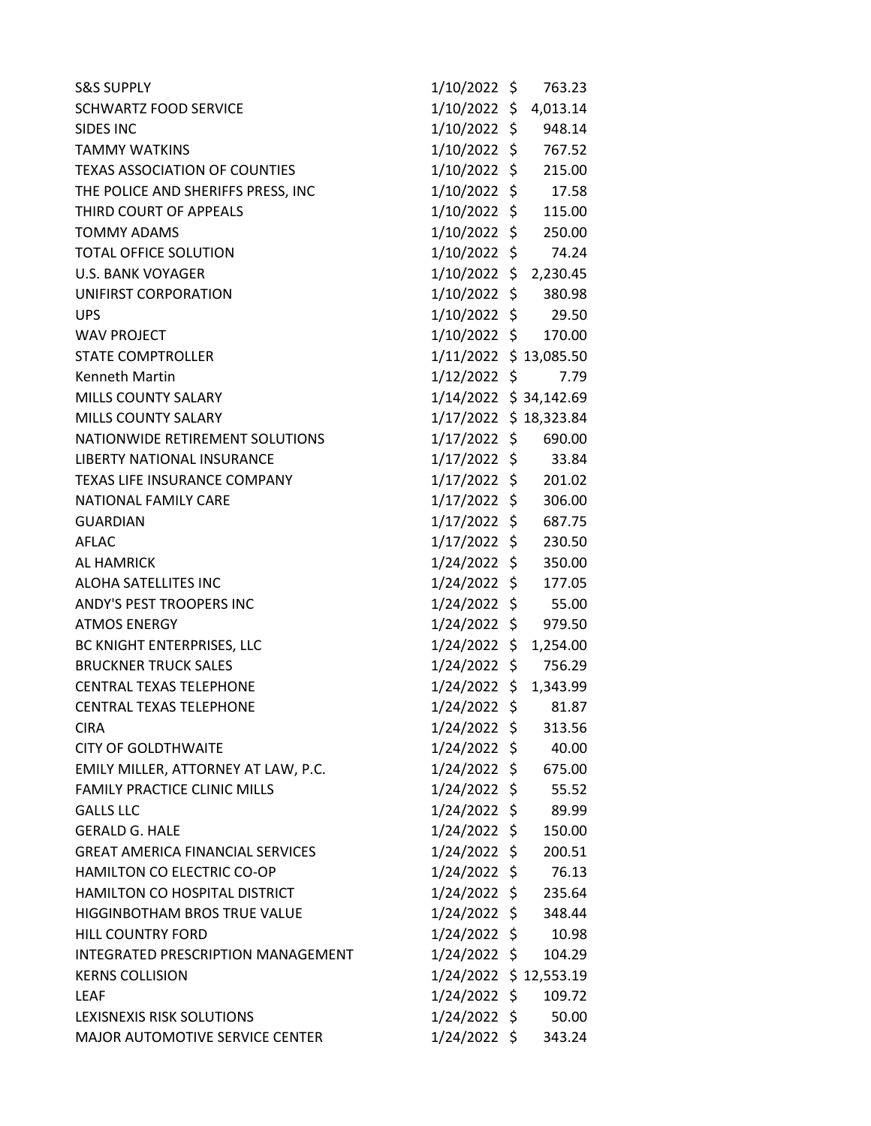| <b>S&amp;S SUPPLY</b>                   | 1/10/2022 \$          | 763.23   |
|-----------------------------------------|-----------------------|----------|
| <b>SCHWARTZ FOOD SERVICE</b>            | 1/10/2022 \$ 4,013.14 |          |
| SIDES INC                               | 1/10/2022 \$          | 948.14   |
| <b>TAMMY WATKINS</b>                    | 1/10/2022 \$          | 767.52   |
| <b>TEXAS ASSOCIATION OF COUNTIES</b>    | 1/10/2022 \$          | 215.00   |
| THE POLICE AND SHERIFFS PRESS, INC      | 1/10/2022 \$ 17.58    |          |
| THIRD COURT OF APPEALS                  | 1/10/2022 \$ 115.00   |          |
| <b>TOMMY ADAMS</b>                      | 1/10/2022 \$          | 250.00   |
| <b>TOTAL OFFICE SOLUTION</b>            | 1/10/2022 \$          | 74.24    |
| <b>U.S. BANK VOYAGER</b>                | 1/10/2022 \$ 2,230.45 |          |
| UNIFIRST CORPORATION                    | 1/10/2022 \$          | 380.98   |
| <b>UPS</b>                              | 1/10/2022 \$ 29.50    |          |
| <b>WAV PROJECT</b>                      | 1/10/2022 \$          | 170.00   |
| <b>STATE COMPTROLLER</b>                | 1/11/2022 \$13,085.50 |          |
| <b>Kenneth Martin</b>                   | 1/12/2022 \$          | 7.79     |
| MILLS COUNTY SALARY                     | 1/14/2022 \$34,142.69 |          |
| <b>MILLS COUNTY SALARY</b>              | 1/17/2022 \$18,323.84 |          |
| NATIONWIDE RETIREMENT SOLUTIONS         | 1/17/2022 \$          | 690.00   |
| LIBERTY NATIONAL INSURANCE              | 1/17/2022 \$          | 33.84    |
| <b>TEXAS LIFE INSURANCE COMPANY</b>     | 1/17/2022 \$ 201.02   |          |
| NATIONAL FAMILY CARE                    | 1/17/2022 \$          | 306.00   |
| <b>GUARDIAN</b>                         | 1/17/2022 \$ 687.75   |          |
| <b>AFLAC</b>                            | 1/17/2022 \$          | 230.50   |
| <b>AL HAMRICK</b>                       | 1/24/2022 \$          | 350.00   |
| ALOHA SATELLITES INC                    | 1/24/2022 \$          | 177.05   |
| ANDY'S PEST TROOPERS INC                | $1/24/2022$ \$ 55.00  |          |
| <b>ATMOS ENERGY</b>                     | 1/24/2022 \$          | 979.50   |
| BC KNIGHT ENTERPRISES, LLC              | 1/24/2022 \$          | 1,254.00 |
| <b>BRUCKNER TRUCK SALES</b>             | 1/24/2022 \$ 756.29   |          |
| <b>CENTRAL TEXAS TELEPHONE</b>          | 1/24/2022 \$ 1,343.99 |          |
| <b>CENTRAL TEXAS TELEPHONE</b>          | 1/24/2022 \$          | 81.87    |
| CIRA                                    | 1/24/2022 \$          | 313.56   |
| <b>CITY OF GOLDTHWAITE</b>              | 1/24/2022 \$          | 40.00    |
| EMILY MILLER, ATTORNEY AT LAW, P.C.     | 1/24/2022 \$          | 675.00   |
| <b>FAMILY PRACTICE CLINIC MILLS</b>     | 1/24/2022 \$          | 55.52    |
| <b>GALLS LLC</b>                        | 1/24/2022 \$          | 89.99    |
| <b>GERALD G. HALE</b>                   | 1/24/2022 \$          | 150.00   |
| <b>GREAT AMERICA FINANCIAL SERVICES</b> | 1/24/2022 \$          | 200.51   |
| HAMILTON CO ELECTRIC CO-OP              | 1/24/2022 \$          | 76.13    |
| HAMILTON CO HOSPITAL DISTRICT           | 1/24/2022 \$          | 235.64   |
| HIGGINBOTHAM BROS TRUE VALUE            | 1/24/2022 \$          | 348.44   |
| HILL COUNTRY FORD                       | 1/24/2022 \$          | 10.98    |
| INTEGRATED PRESCRIPTION MANAGEMENT      | 1/24/2022 \$          | 104.29   |
| <b>KERNS COLLISION</b>                  | 1/24/2022 \$12,553.19 |          |
| <b>LEAF</b>                             | 1/24/2022 \$          | 109.72   |
| LEXISNEXIS RISK SOLUTIONS               | 1/24/2022 \$ 50.00    |          |
| MAJOR AUTOMOTIVE SERVICE CENTER         | 1/24/2022 \$          | 343.24   |